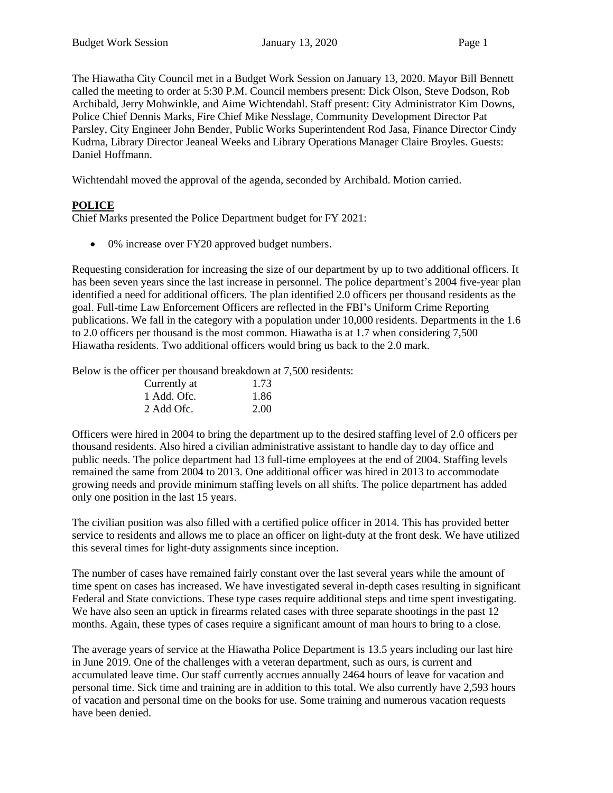The Hiawatha City Council met in a Budget Work Session on January 13, 2020. Mayor Bill Bennett called the meeting to order at 5:30 P.M. Council members present: Dick Olson, Steve Dodson, Rob Archibald, Jerry Mohwinkle, and Aime Wichtendahl. Staff present: City Administrator Kim Downs, Police Chief Dennis Marks, Fire Chief Mike Nesslage, Community Development Director Pat Parsley, City Engineer John Bender, Public Works Superintendent Rod Jasa, Finance Director Cindy Kudrna, Library Director Jeaneal Weeks and Library Operations Manager Claire Broyles. Guests: Daniel Hoffmann.

Wichtendahl moved the approval of the agenda, seconded by Archibald. Motion carried.

# **POLICE**

Chief Marks presented the Police Department budget for FY 2021:

• 0% increase over FY20 approved budget numbers.

Requesting consideration for increasing the size of our department by up to two additional officers. It has been seven years since the last increase in personnel. The police department's 2004 five-year plan identified a need for additional officers. The plan identified 2.0 officers per thousand residents as the goal. Full-time Law Enforcement Officers are reflected in the FBI's Uniform Crime Reporting publications. We fall in the category with a population under 10,000 residents. Departments in the 1.6 to 2.0 officers per thousand is the most common. Hiawatha is at 1.7 when considering 7,500 Hiawatha residents. Two additional officers would bring us back to the 2.0 mark.

Below is the officer per thousand breakdown at 7,500 residents:

| Currently at | 1.73 |
|--------------|------|
| 1 Add. Ofc.  | 1.86 |
| 2 Add Ofc.   | 2.00 |

Officers were hired in 2004 to bring the department up to the desired staffing level of 2.0 officers per thousand residents. Also hired a civilian administrative assistant to handle day to day office and public needs. The police department had 13 full-time employees at the end of 2004. Staffing levels remained the same from 2004 to 2013. One additional officer was hired in 2013 to accommodate growing needs and provide minimum staffing levels on all shifts. The police department has added only one position in the last 15 years.

The civilian position was also filled with a certified police officer in 2014. This has provided better service to residents and allows me to place an officer on light-duty at the front desk. We have utilized this several times for light-duty assignments since inception.

The number of cases have remained fairly constant over the last several years while the amount of time spent on cases has increased. We have investigated several in-depth cases resulting in significant Federal and State convictions. These type cases require additional steps and time spent investigating. We have also seen an uptick in firearms related cases with three separate shootings in the past 12 months. Again, these types of cases require a significant amount of man hours to bring to a close.

The average years of service at the Hiawatha Police Department is 13.5 years including our last hire in June 2019. One of the challenges with a veteran department, such as ours, is current and accumulated leave time. Our staff currently accrues annually 2464 hours of leave for vacation and personal time. Sick time and training are in addition to this total. We also currently have 2,593 hours of vacation and personal time on the books for use. Some training and numerous vacation requests have been denied.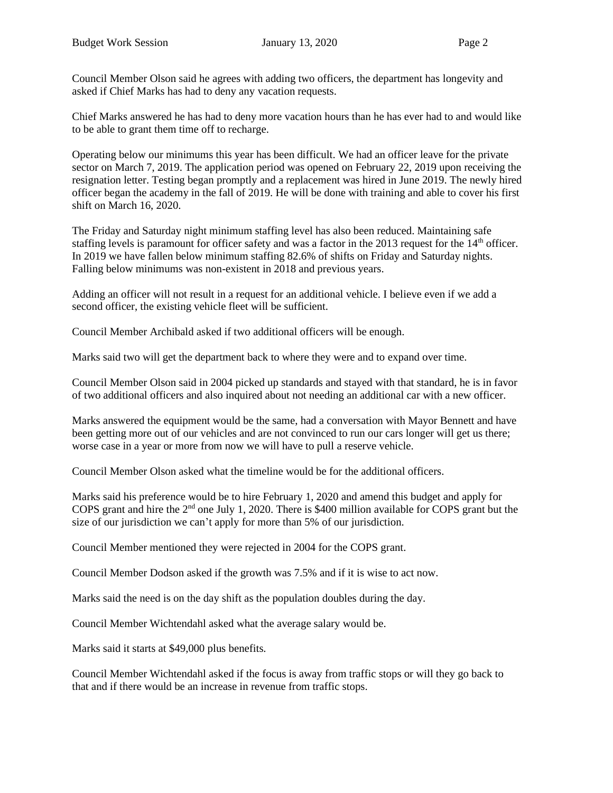Council Member Olson said he agrees with adding two officers, the department has longevity and asked if Chief Marks has had to deny any vacation requests.

Chief Marks answered he has had to deny more vacation hours than he has ever had to and would like to be able to grant them time off to recharge.

Operating below our minimums this year has been difficult. We had an officer leave for the private sector on March 7, 2019. The application period was opened on February 22, 2019 upon receiving the resignation letter. Testing began promptly and a replacement was hired in June 2019. The newly hired officer began the academy in the fall of 2019. He will be done with training and able to cover his first shift on March 16, 2020.

The Friday and Saturday night minimum staffing level has also been reduced. Maintaining safe staffing levels is paramount for officer safety and was a factor in the 2013 request for the 14<sup>th</sup> officer. In 2019 we have fallen below minimum staffing 82.6% of shifts on Friday and Saturday nights. Falling below minimums was non-existent in 2018 and previous years.

Adding an officer will not result in a request for an additional vehicle. I believe even if we add a second officer, the existing vehicle fleet will be sufficient.

Council Member Archibald asked if two additional officers will be enough.

Marks said two will get the department back to where they were and to expand over time.

Council Member Olson said in 2004 picked up standards and stayed with that standard, he is in favor of two additional officers and also inquired about not needing an additional car with a new officer.

Marks answered the equipment would be the same, had a conversation with Mayor Bennett and have been getting more out of our vehicles and are not convinced to run our cars longer will get us there; worse case in a year or more from now we will have to pull a reserve vehicle.

Council Member Olson asked what the timeline would be for the additional officers.

Marks said his preference would be to hire February 1, 2020 and amend this budget and apply for COPS grant and hire the 2nd one July 1, 2020. There is \$400 million available for COPS grant but the size of our jurisdiction we can't apply for more than 5% of our jurisdiction.

Council Member mentioned they were rejected in 2004 for the COPS grant.

Council Member Dodson asked if the growth was 7.5% and if it is wise to act now.

Marks said the need is on the day shift as the population doubles during the day.

Council Member Wichtendahl asked what the average salary would be.

Marks said it starts at \$49,000 plus benefits.

Council Member Wichtendahl asked if the focus is away from traffic stops or will they go back to that and if there would be an increase in revenue from traffic stops.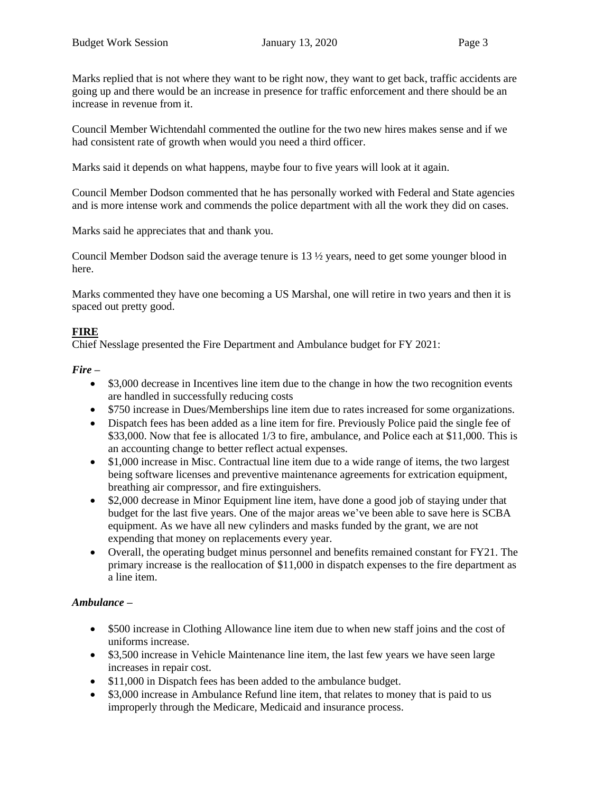Marks replied that is not where they want to be right now, they want to get back, traffic accidents are going up and there would be an increase in presence for traffic enforcement and there should be an increase in revenue from it.

Council Member Wichtendahl commented the outline for the two new hires makes sense and if we had consistent rate of growth when would you need a third officer.

Marks said it depends on what happens, maybe four to five years will look at it again.

Council Member Dodson commented that he has personally worked with Federal and State agencies and is more intense work and commends the police department with all the work they did on cases.

Marks said he appreciates that and thank you.

Council Member Dodson said the average tenure is 13 ½ years, need to get some younger blood in here.

Marks commented they have one becoming a US Marshal, one will retire in two years and then it is spaced out pretty good.

# **FIRE**

Chief Nesslage presented the Fire Department and Ambulance budget for FY 2021:

## *Fire –*

- \$3,000 decrease in Incentives line item due to the change in how the two recognition events are handled in successfully reducing costs
- \$750 increase in Dues/Memberships line item due to rates increased for some organizations.
- Dispatch fees has been added as a line item for fire. Previously Police paid the single fee of \$33,000. Now that fee is allocated 1/3 to fire, ambulance, and Police each at \$11,000. This is an accounting change to better reflect actual expenses.
- \$1,000 increase in Misc. Contractual line item due to a wide range of items, the two largest being software licenses and preventive maintenance agreements for extrication equipment, breathing air compressor, and fire extinguishers.
- \$2,000 decrease in Minor Equipment line item, have done a good job of staying under that budget for the last five years. One of the major areas we've been able to save here is SCBA equipment. As we have all new cylinders and masks funded by the grant, we are not expending that money on replacements every year.
- Overall, the operating budget minus personnel and benefits remained constant for FY21. The primary increase is the reallocation of \$11,000 in dispatch expenses to the fire department as a line item.

# *Ambulance –*

- \$500 increase in Clothing Allowance line item due to when new staff joins and the cost of uniforms increase.
- \$3,500 increase in Vehicle Maintenance line item, the last few years we have seen large increases in repair cost.
- \$11,000 in Dispatch fees has been added to the ambulance budget.
- \$3,000 increase in Ambulance Refund line item, that relates to money that is paid to us improperly through the Medicare, Medicaid and insurance process.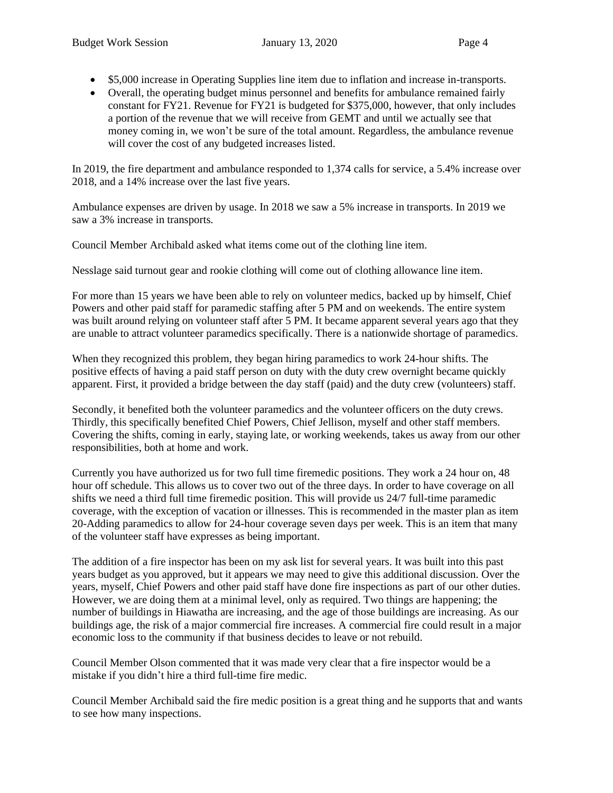- \$5,000 increase in Operating Supplies line item due to inflation and increase in-transports.
- Overall, the operating budget minus personnel and benefits for ambulance remained fairly constant for FY21. Revenue for FY21 is budgeted for \$375,000, however, that only includes a portion of the revenue that we will receive from GEMT and until we actually see that money coming in, we won't be sure of the total amount. Regardless, the ambulance revenue will cover the cost of any budgeted increases listed.

In 2019, the fire department and ambulance responded to 1,374 calls for service, a 5.4% increase over 2018, and a 14% increase over the last five years.

Ambulance expenses are driven by usage. In 2018 we saw a 5% increase in transports. In 2019 we saw a 3% increase in transports.

Council Member Archibald asked what items come out of the clothing line item.

Nesslage said turnout gear and rookie clothing will come out of clothing allowance line item.

For more than 15 years we have been able to rely on volunteer medics, backed up by himself, Chief Powers and other paid staff for paramedic staffing after 5 PM and on weekends. The entire system was built around relying on volunteer staff after 5 PM. It became apparent several years ago that they are unable to attract volunteer paramedics specifically. There is a nationwide shortage of paramedics.

When they recognized this problem, they began hiring paramedics to work 24-hour shifts. The positive effects of having a paid staff person on duty with the duty crew overnight became quickly apparent. First, it provided a bridge between the day staff (paid) and the duty crew (volunteers) staff.

Secondly, it benefited both the volunteer paramedics and the volunteer officers on the duty crews. Thirdly, this specifically benefited Chief Powers, Chief Jellison, myself and other staff members. Covering the shifts, coming in early, staying late, or working weekends, takes us away from our other responsibilities, both at home and work.

Currently you have authorized us for two full time firemedic positions. They work a 24 hour on, 48 hour off schedule. This allows us to cover two out of the three days. In order to have coverage on all shifts we need a third full time firemedic position. This will provide us 24/7 full-time paramedic coverage, with the exception of vacation or illnesses. This is recommended in the master plan as item 20-Adding paramedics to allow for 24-hour coverage seven days per week. This is an item that many of the volunteer staff have expresses as being important.

The addition of a fire inspector has been on my ask list for several years. It was built into this past years budget as you approved, but it appears we may need to give this additional discussion. Over the years, myself, Chief Powers and other paid staff have done fire inspections as part of our other duties. However, we are doing them at a minimal level, only as required. Two things are happening; the number of buildings in Hiawatha are increasing, and the age of those buildings are increasing. As our buildings age, the risk of a major commercial fire increases. A commercial fire could result in a major economic loss to the community if that business decides to leave or not rebuild.

Council Member Olson commented that it was made very clear that a fire inspector would be a mistake if you didn't hire a third full-time fire medic.

Council Member Archibald said the fire medic position is a great thing and he supports that and wants to see how many inspections.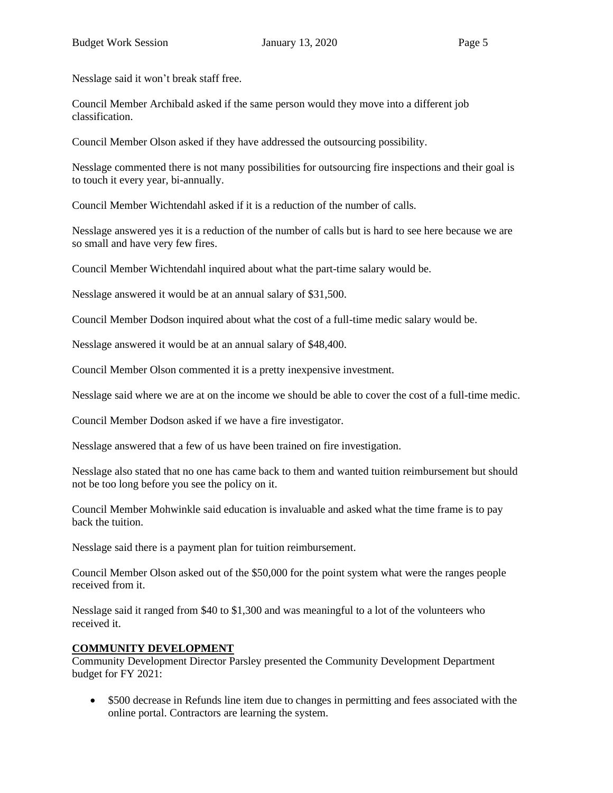Nesslage said it won't break staff free.

Council Member Archibald asked if the same person would they move into a different job classification.

Council Member Olson asked if they have addressed the outsourcing possibility.

Nesslage commented there is not many possibilities for outsourcing fire inspections and their goal is to touch it every year, bi-annually.

Council Member Wichtendahl asked if it is a reduction of the number of calls.

Nesslage answered yes it is a reduction of the number of calls but is hard to see here because we are so small and have very few fires.

Council Member Wichtendahl inquired about what the part-time salary would be.

Nesslage answered it would be at an annual salary of \$31,500.

Council Member Dodson inquired about what the cost of a full-time medic salary would be.

Nesslage answered it would be at an annual salary of \$48,400.

Council Member Olson commented it is a pretty inexpensive investment.

Nesslage said where we are at on the income we should be able to cover the cost of a full-time medic.

Council Member Dodson asked if we have a fire investigator.

Nesslage answered that a few of us have been trained on fire investigation.

Nesslage also stated that no one has came back to them and wanted tuition reimbursement but should not be too long before you see the policy on it.

Council Member Mohwinkle said education is invaluable and asked what the time frame is to pay back the tuition.

Nesslage said there is a payment plan for tuition reimbursement.

Council Member Olson asked out of the \$50,000 for the point system what were the ranges people received from it.

Nesslage said it ranged from \$40 to \$1,300 and was meaningful to a lot of the volunteers who received it.

# **COMMUNITY DEVELOPMENT**

Community Development Director Parsley presented the Community Development Department budget for FY 2021:

• \$500 decrease in Refunds line item due to changes in permitting and fees associated with the online portal. Contractors are learning the system.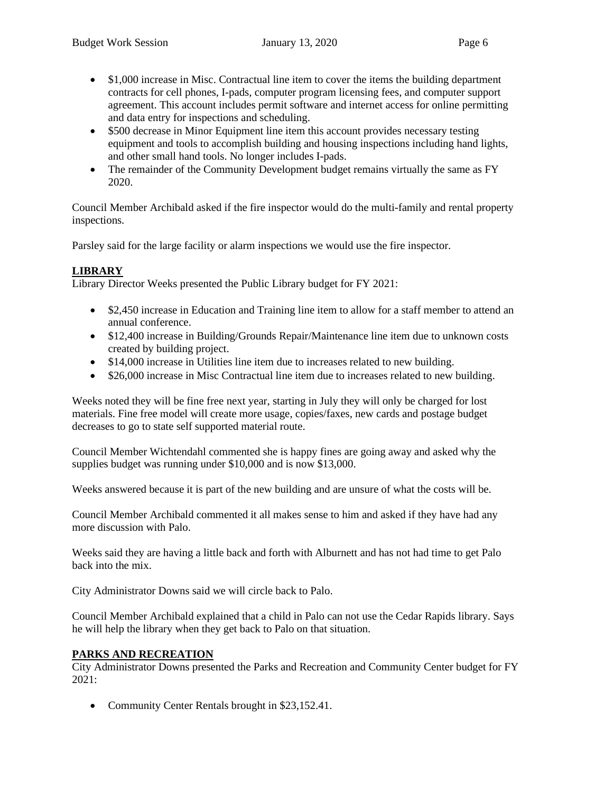- \$1,000 increase in Misc. Contractual line item to cover the items the building department contracts for cell phones, I-pads, computer program licensing fees, and computer support agreement. This account includes permit software and internet access for online permitting and data entry for inspections and scheduling.
- \$500 decrease in Minor Equipment line item this account provides necessary testing equipment and tools to accomplish building and housing inspections including hand lights, and other small hand tools. No longer includes I-pads.
- The remainder of the Community Development budget remains virtually the same as FY 2020.

Council Member Archibald asked if the fire inspector would do the multi-family and rental property inspections.

Parsley said for the large facility or alarm inspections we would use the fire inspector.

# **LIBRARY**

Library Director Weeks presented the Public Library budget for FY 2021:

- \$2,450 increase in Education and Training line item to allow for a staff member to attend an annual conference.
- \$12,400 increase in Building/Grounds Repair/Maintenance line item due to unknown costs created by building project.
- \$14,000 increase in Utilities line item due to increases related to new building.
- \$26,000 increase in Misc Contractual line item due to increases related to new building.

Weeks noted they will be fine free next year, starting in July they will only be charged for lost materials. Fine free model will create more usage, copies/faxes, new cards and postage budget decreases to go to state self supported material route.

Council Member Wichtendahl commented she is happy fines are going away and asked why the supplies budget was running under \$10,000 and is now \$13,000.

Weeks answered because it is part of the new building and are unsure of what the costs will be.

Council Member Archibald commented it all makes sense to him and asked if they have had any more discussion with Palo.

Weeks said they are having a little back and forth with Alburnett and has not had time to get Palo back into the mix.

City Administrator Downs said we will circle back to Palo.

Council Member Archibald explained that a child in Palo can not use the Cedar Rapids library. Says he will help the library when they get back to Palo on that situation.

# **PARKS AND RECREATION**

City Administrator Downs presented the Parks and Recreation and Community Center budget for FY 2021:

• Community Center Rentals brought in \$23,152.41.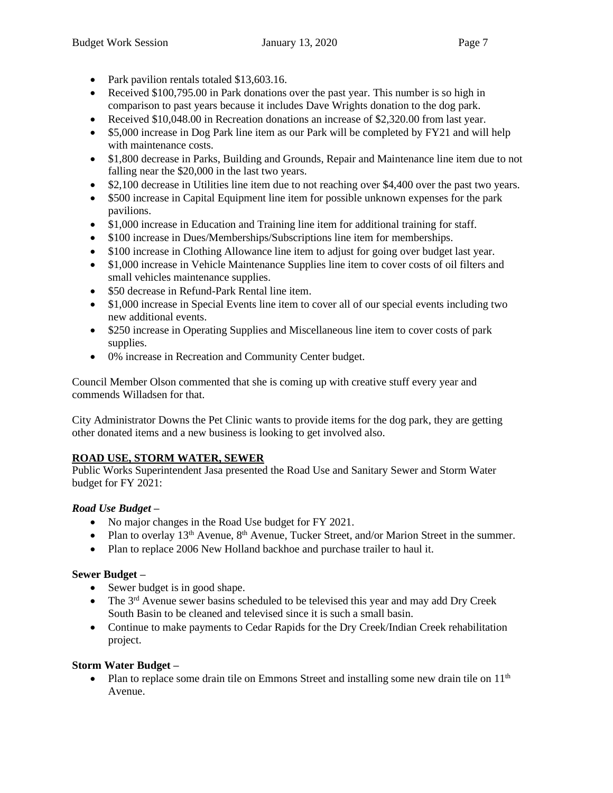- Park pavilion rentals totaled \$13,603.16.
- Received \$100,795.00 in Park donations over the past year. This number is so high in comparison to past years because it includes Dave Wrights donation to the dog park.
- Received \$10,048.00 in Recreation donations an increase of \$2,320.00 from last year.
- \$5,000 increase in Dog Park line item as our Park will be completed by FY21 and will help with maintenance costs.
- \$1,800 decrease in Parks, Building and Grounds, Repair and Maintenance line item due to not falling near the \$20,000 in the last two years.
- \$2,100 decrease in Utilities line item due to not reaching over \$4,400 over the past two years.
- \$500 increase in Capital Equipment line item for possible unknown expenses for the park pavilions.
- \$1,000 increase in Education and Training line item for additional training for staff.
- \$100 increase in Dues/Memberships/Subscriptions line item for memberships.
- \$100 increase in Clothing Allowance line item to adjust for going over budget last year.
- \$1,000 increase in Vehicle Maintenance Supplies line item to cover costs of oil filters and small vehicles maintenance supplies.
- \$50 decrease in Refund-Park Rental line item.
- \$1,000 increase in Special Events line item to cover all of our special events including two new additional events.
- \$250 increase in Operating Supplies and Miscellaneous line item to cover costs of park supplies.
- 0% increase in Recreation and Community Center budget.

Council Member Olson commented that she is coming up with creative stuff every year and commends Willadsen for that.

City Administrator Downs the Pet Clinic wants to provide items for the dog park, they are getting other donated items and a new business is looking to get involved also.

# **ROAD USE, STORM WATER, SEWER**

Public Works Superintendent Jasa presented the Road Use and Sanitary Sewer and Storm Water budget for FY 2021:

# *Road Use Budget –*

- No major changes in the Road Use budget for FY 2021.
- Plan to overlay  $13<sup>th</sup>$  Avenue,  $8<sup>th</sup>$  Avenue, Tucker Street, and/or Marion Street in the summer.
- Plan to replace 2006 New Holland backhoe and purchase trailer to haul it.

# **Sewer Budget –**

- Sewer budget is in good shape.
- The  $3<sup>rd</sup>$  Avenue sewer basins scheduled to be televised this year and may add Dry Creek South Basin to be cleaned and televised since it is such a small basin.
- Continue to make payments to Cedar Rapids for the Dry Creek/Indian Creek rehabilitation project.

# **Storm Water Budget –**

• Plan to replace some drain tile on Emmons Street and installing some new drain tile on  $11<sup>th</sup>$ Avenue.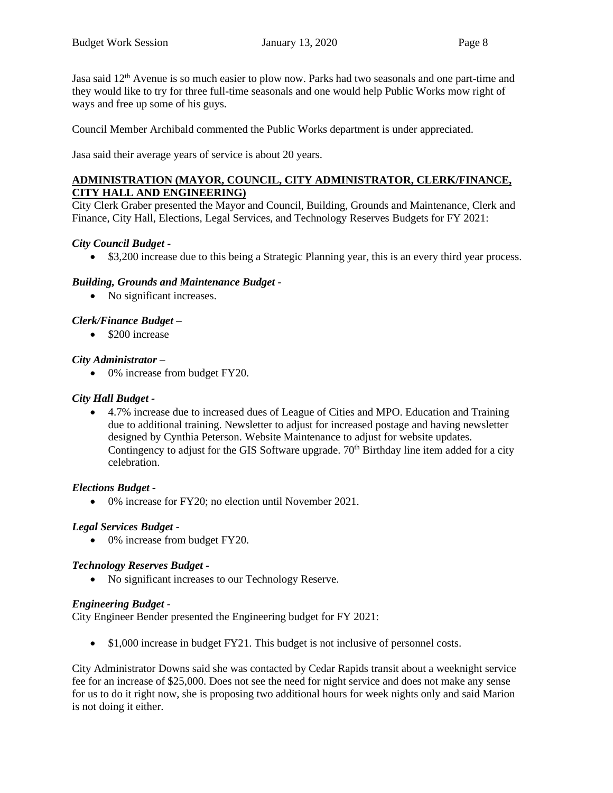Jasa said 12<sup>th</sup> Avenue is so much easier to plow now. Parks had two seasonals and one part-time and they would like to try for three full-time seasonals and one would help Public Works mow right of ways and free up some of his guys.

Council Member Archibald commented the Public Works department is under appreciated.

Jasa said their average years of service is about 20 years.

#### **ADMINISTRATION (MAYOR, COUNCIL, CITY ADMINISTRATOR, CLERK/FINANCE, CITY HALL AND ENGINEERING)**

City Clerk Graber presented the Mayor and Council, Building, Grounds and Maintenance, Clerk and Finance, City Hall, Elections, Legal Services, and Technology Reserves Budgets for FY 2021:

## *City Council Budget -*

• \$3,200 increase due to this being a Strategic Planning year, this is an every third year process.

## *Building, Grounds and Maintenance Budget -*

• No significant increases.

# *Clerk/Finance Budget –*

• \$200 increase

## *City Administrator –*

• 0% increase from budget FY20.

#### *City Hall Budget -*

• 4.7% increase due to increased dues of League of Cities and MPO. Education and Training due to additional training. Newsletter to adjust for increased postage and having newsletter designed by Cynthia Peterson. Website Maintenance to adjust for website updates. Contingency to adjust for the GIS Software upgrade.  $70<sup>th</sup>$  Birthday line item added for a city celebration.

#### *Elections Budget -*

• 0% increase for FY20; no election until November 2021.

# *Legal Services Budget -*

• 0% increase from budget FY20.

#### *Technology Reserves Budget -*

• No significant increases to our Technology Reserve.

#### *Engineering Budget -*

City Engineer Bender presented the Engineering budget for FY 2021:

• \$1,000 increase in budget FY21. This budget is not inclusive of personnel costs.

City Administrator Downs said she was contacted by Cedar Rapids transit about a weeknight service fee for an increase of \$25,000. Does not see the need for night service and does not make any sense for us to do it right now, she is proposing two additional hours for week nights only and said Marion is not doing it either.